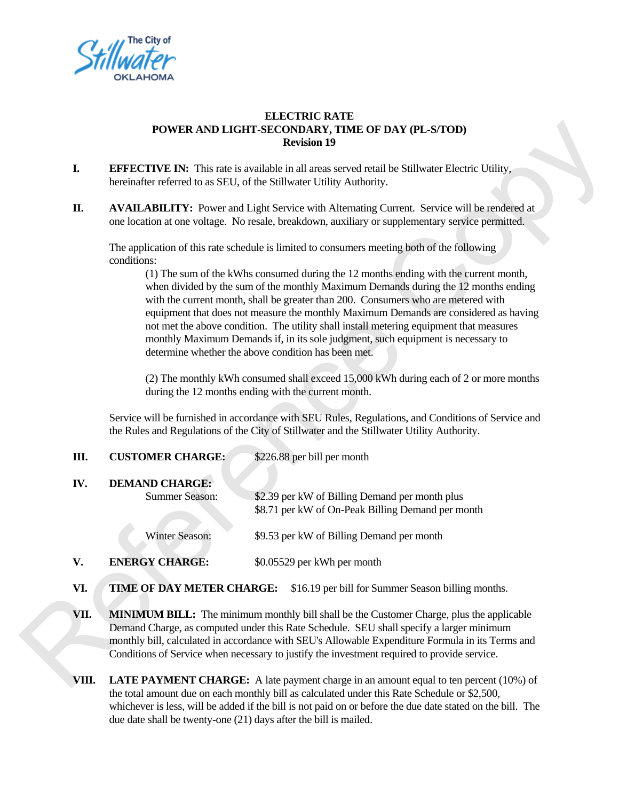

## **ELECTRIC RATE POWER AND LIGHT-SECONDARY, TIME OF DAY (PL-S/TOD) Revision 19**

- **I. EFFECTIVE IN:** This rate is available in all areas served retail be Stillwater Electric Utility, hereinafter referred to as SEU, of the Stillwater Utility Authority.
- **II. AVAILABILITY:** Power and Light Service with Alternating Current. Service will be rendered at one location at one voltage. No resale, breakdown, auxiliary or supplementary service permitted.

The application of this rate schedule is limited to consumers meeting both of the following conditions:

(1) The sum of the kWhs consumed during the 12 months ending with the current month, when divided by the sum of the monthly Maximum Demands during the 12 months ending with the current month, shall be greater than 200. Consumers who are metered with equipment that does not measure the monthly Maximum Demands are considered as having not met the above condition. The utility shall install metering equipment that measures monthly Maximum Demands if, in its sole judgment, such equipment is necessary to determine whether the above condition has been met. T DAY (PL-S/TOD)<br>il be Stillwater Electric Utility,<br>y.<br>Current. Service will be rendered at<br>supplementary service permitted.<br>eeting both of the following<br>this ending with the current month,<br>emands during the 12 months endi

(2) The monthly kWh consumed shall exceed 15,000 kWh during each of 2 or more months during the 12 months ending with the current month.

Service will be furnished in accordance with SEU Rules, Regulations, and Conditions of Service and the Rules and Regulations of the City of Stillwater and the Stillwater Utility Authority.

| equipment that does not measure the monthly triuxinium Demands are consider<br>not met the above condition. The utility shall install metering equipment that mo<br>monthly Maximum Demands if, in its sole judgment, such equipment is necessa<br>determine whether the above condition has been met. |                                                                                                                                                                                                                                                                                                                                                                    |                                                                                                     |
|--------------------------------------------------------------------------------------------------------------------------------------------------------------------------------------------------------------------------------------------------------------------------------------------------------|--------------------------------------------------------------------------------------------------------------------------------------------------------------------------------------------------------------------------------------------------------------------------------------------------------------------------------------------------------------------|-----------------------------------------------------------------------------------------------------|
|                                                                                                                                                                                                                                                                                                        | (2) The monthly kWh consumed shall exceed 15,000 kWh during each of 2 or r<br>during the 12 months ending with the current month.                                                                                                                                                                                                                                  |                                                                                                     |
|                                                                                                                                                                                                                                                                                                        | Service will be furnished in accordance with SEU Rules, Regulations, and Conditions of<br>the Rules and Regulations of the City of Stillwater and the Stillwater Utility Authority.                                                                                                                                                                                |                                                                                                     |
| Ш.                                                                                                                                                                                                                                                                                                     | <b>CUSTOMER CHARGE:</b>                                                                                                                                                                                                                                                                                                                                            | \$226.88 per bill per month                                                                         |
| IV.                                                                                                                                                                                                                                                                                                    | <b>DEMAND CHARGE:</b><br><b>Summer Season:</b>                                                                                                                                                                                                                                                                                                                     | \$2.39 per kW of Billing Demand per month plus<br>\$8.71 per kW of On-Peak Billing Demand per month |
|                                                                                                                                                                                                                                                                                                        | <b>Winter Season:</b>                                                                                                                                                                                                                                                                                                                                              | \$9.53 per kW of Billing Demand per month                                                           |
| V.                                                                                                                                                                                                                                                                                                     | <b>ENERGY CHARGE:</b>                                                                                                                                                                                                                                                                                                                                              | \$0.05529 per kWh per month                                                                         |
| VI.                                                                                                                                                                                                                                                                                                    | TIME OF DAY METER CHARGE:<br>\$16.19 per bill for Summer Season billing mo                                                                                                                                                                                                                                                                                         |                                                                                                     |
| VII.                                                                                                                                                                                                                                                                                                   | <b>MINIMUM BILL:</b> The minimum monthly bill shall be the Customer Charge, plus the<br>Demand Charge, as computed under this Rate Schedule. SEU shall specify a larger min<br>monthly bill, calculated in accordance with SEU's Allowable Expenditure Formula in its<br>Conditions of Service when necessary to justify the investment required to provide servi- |                                                                                                     |
| VIII.                                                                                                                                                                                                                                                                                                  |                                                                                                                                                                                                                                                                                                                                                                    | <b>LATE PAYMENT CHARGE:</b> A late payment charge in an amount equal to ten perce                   |

- **VI. TIME OF DAY METER CHARGE:** \$16.19 per bill for Summer Season billing months.
- **VII.** MINIMUM BILL: The minimum monthly bill shall be the Customer Charge, plus the applicable Demand Charge, as computed under this Rate Schedule. SEU shall specify a larger minimum monthly bill, calculated in accordance with SEU's Allowable Expenditure Formula in its Terms and Conditions of Service when necessary to justify the investment required to provide service.
- **VIII. LATE PAYMENT CHARGE:** A late payment charge in an amount equal to ten percent (10%) of the total amount due on each monthly bill as calculated under this Rate Schedule or \$2,500, whichever is less, will be added if the bill is not paid on or before the due date stated on the bill. The due date shall be twenty-one (21) days after the bill is mailed.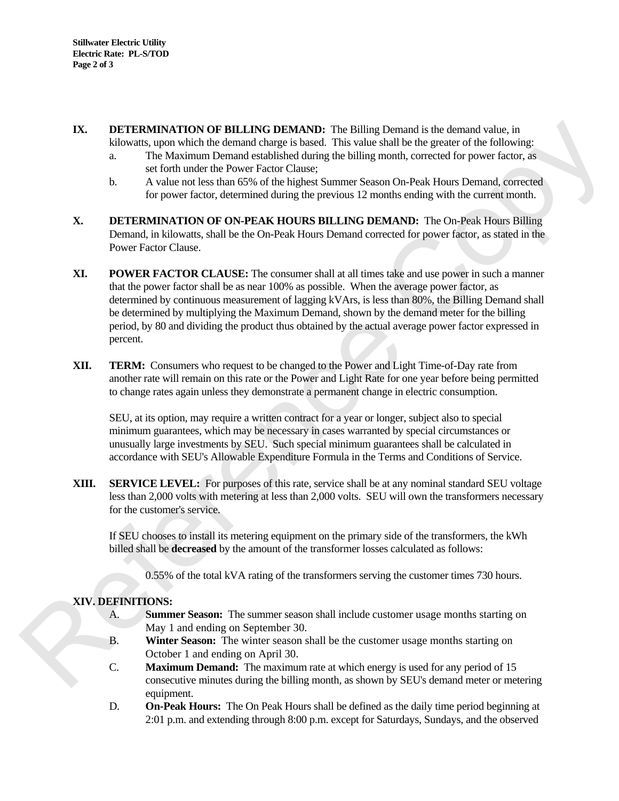- **IX. DETERMINATION OF BILLING DEMAND:** The Billing Demand is the demand value, in kilowatts, upon which the demand charge is based. This value shall be the greater of the following:
	- a. The Maximum Demand established during the billing month, corrected for power factor, as set forth under the Power Factor Clause;
	- b. A value not less than 65% of the highest Summer Season On-Peak Hours Demand, corrected for power factor, determined during the previous 12 months ending with the current month.
- **X. DETERMINATION OF ON-PEAK HOURS BILLING DEMAND:** The On-Peak Hours Billing Demand, in kilowatts, shall be the On-Peak Hours Demand corrected for power factor, as stated in the Power Factor Clause.
- **XI.** POWER FACTOR CLAUSE: The consumer shall at all times take and use power in such a manner that the power factor shall be as near 100% as possible. When the average power factor, as determined by continuous measurement of lagging kVArs, is less than 80%, the Billing Demand shall be determined by multiplying the Maximum Demand, shown by the demand meter for the billing period, by 80 and dividing the product thus obtained by the actual average power factor expressed in percent. Demand is the demand value, in<br>
shall be the greater of the following:<br>
month, corrected for power factor, as<br>
on On-Peak Hours Demand, corrected<br>
onths ending with the current month.<br> **EMAND:** The On-Peak Hours Billing<br>
r
- **XII. TERM:** Consumers who request to be changed to the Power and Light Time-of-Day rate from another rate will remain on this rate or the Power and Light Rate for one year before being permitted to change rates again unless they demonstrate a permanent change in electric consumption.

 SEU, at its option, may require a written contract for a year or longer, subject also to special minimum guarantees, which may be necessary in cases warranted by special circumstances or unusually large investments by SEU. Such special minimum guarantees shall be calculated in accordance with SEU's Allowable Expenditure Formula in the Terms and Conditions of Service. be extendined by Markynging in channel behands above the prioring the priod, by 80 and dividing the product thus obtained by the actual average<br>percent.<br> **XII.** TERM: Consumers who request to be changed to the Power and Li

**XIII. SERVICE LEVEL:** For purposes of this rate, service shall be at any nominal standard SEU voltage less than 2,000 volts with metering at less than 2,000 volts. SEU will own the transformers necessary for the customer's service.

 If SEU chooses to install its metering equipment on the primary side of the transformers, the kWh billed shall be **decreased** by the amount of the transformer losses calculated as follows:

0.55% of the total kVA rating of the transformers serving the customer times 730 hours.

## **XIV. DEFINITIONS:**

- A. **Summer Season:** The summer season shall include customer usage months starting on May 1 and ending on September 30.
- B. **Winter Season:** The winter season shall be the customer usage months starting on October 1 and ending on April 30.
- C. **Maximum Demand:** The maximum rate at which energy is used for any period of 15 consecutive minutes during the billing month, as shown by SEU's demand meter or metering equipment.
- D. **On-Peak Hours:** The On Peak Hours shall be defined as the daily time period beginning at 2:01 p.m. and extending through 8:00 p.m. except for Saturdays, Sundays, and the observed